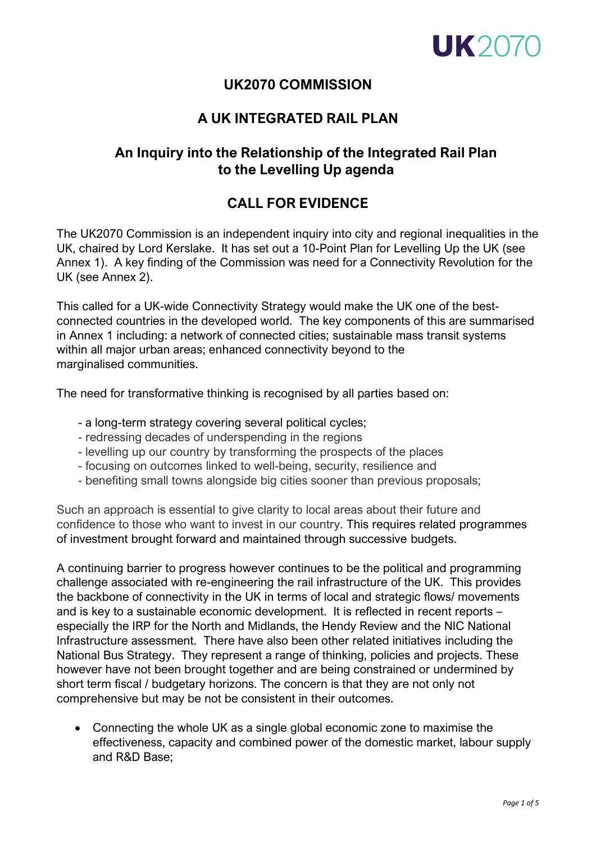

## **UK2070 COMMISSION**

## **A UK INTEGRATED RAIL PLAN**

# **An Inquiry into the Relationship of the Integrated Rail Plan to the Levelling Up agenda**

# **CALL FOR EVIDENCE**

The UK2070 Commission is an independent inquiry into city and regional inequalities in the UK, chaired by Lord Kerslake. It has set out a 10-Point Plan for Levelling Up the UK (see Annex 1). A key finding of the Commission was need for a Connectivity Revolution for the UK (see Annex 2).

This called for a UK-wide Connectivity Strategy would make the UK one of the bestconnected countries in the developed world. The key components of this are summarised in Annex 1 including: a network of connected cities; sustainable mass transit systems within all major urban areas; enhanced connectivity beyond to the marginalised communities.

The need for transformative thinking is recognised by all parties based on:

- a long-term strategy covering several political cycles;
- redressing decades of underspending in the regions
- levelling up our country by transforming the prospects of the places
- focusing on outcomes linked to well-being, security, resilience and
- benefiting small towns alongside big cities sooner than previous proposals;

Such an approach is essential to give clarity to local areas about their future and confidence to those who want to invest in our country. This requires related programmes of investment brought forward and maintained through successive budgets.

A continuing barrier to progress however continues to be the political and programming challenge associated with re-engineering the rail infrastructure of the UK. This provides the backbone of connectivity in the UK in terms of local and strategic flows/ movements and is key to a sustainable economic development. It is reflected in recent reports – especially the IRP for the North and Midlands, the Hendy Review and the NIC National Infrastructure assessment. There have also been other related initiatives including the National Bus Strategy. They represent a range of thinking, policies and projects. These however have not been brought together and are being constrained or undermined by short term fiscal / budgetary horizons. The concern is that they are not only not comprehensive but may be not be consistent in their outcomes.

• Connecting the whole UK as a single global economic zone to maximise the effectiveness, capacity and combined power of the domestic market, labour supply and R&D Base;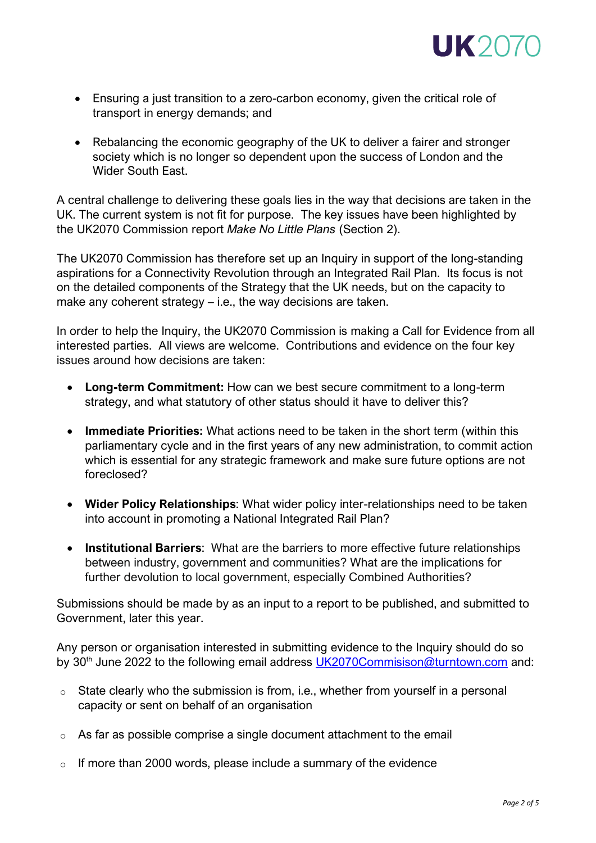

- Ensuring a just transition to a zero-carbon economy, given the critical role of transport in energy demands; and
- Rebalancing the economic geography of the UK to deliver a fairer and stronger society which is no longer so dependent upon the success of London and the Wider South East.

A central challenge to delivering these goals lies in the way that decisions are taken in the UK. The current system is not fit for purpose. The key issues have been highlighted by the UK2070 Commission report *Make No Little Plans* (Section 2).

The UK2070 Commission has therefore set up an Inquiry in support of the long-standing aspirations for a Connectivity Revolution through an Integrated Rail Plan. Its focus is not on the detailed components of the Strategy that the UK needs, but on the capacity to make any coherent strategy – i.e., the way decisions are taken.

In order to help the Inquiry, the UK2070 Commission is making a Call for Evidence from all interested parties. All views are welcome. Contributions and evidence on the four key issues around how decisions are taken:

- **Long-term Commitment:** How can we best secure commitment to a long-term strategy, and what statutory of other status should it have to deliver this?
- **Immediate Priorities:** What actions need to be taken in the short term (within this parliamentary cycle and in the first years of any new administration, to commit action which is essential for any strategic framework and make sure future options are not foreclosed?
- **Wider Policy Relationships**: What wider policy inter-relationships need to be taken into account in promoting a National Integrated Rail Plan?
- **Institutional Barriers**: What are the barriers to more effective future relationships between industry, government and communities? What are the implications for further devolution to local government, especially Combined Authorities?

Submissions should be made by as an input to a report to be published, and submitted to Government, later this year.

Any person or organisation interested in submitting evidence to the Inquiry should do so by 30<sup>th</sup> June 2022 to the following email address [UK2070Commisison@turntown.com](mailto:UK2070Commisison@turntown.com) and:

- o State clearly who the submission is from, i.e., whether from yourself in a personal capacity or sent on behalf of an organisation
- o As far as possible comprise a single document attachment to the email
- $\circ$  If more than 2000 words, please include a summary of the evidence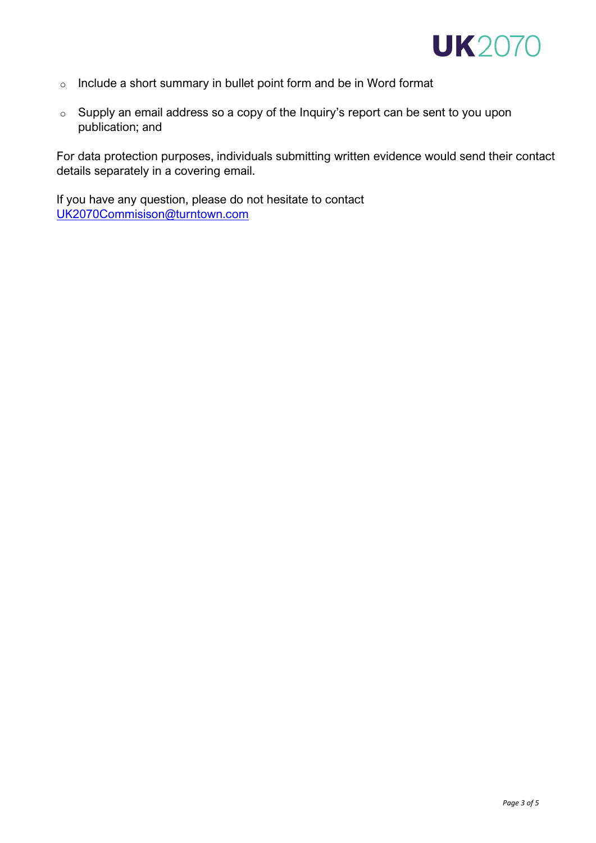

- o Include a short summary in bullet point form and be in Word format
- o Supply an email address so a copy of the Inquiry's report can be sent to you upon publication; and

For data protection purposes, individuals submitting written evidence would send their contact details separately in a covering email.

If you have any question, please do not hesitate to contact [UK2070Commisison@turntown.com](mailto:UK2070Commisison@turntown.com)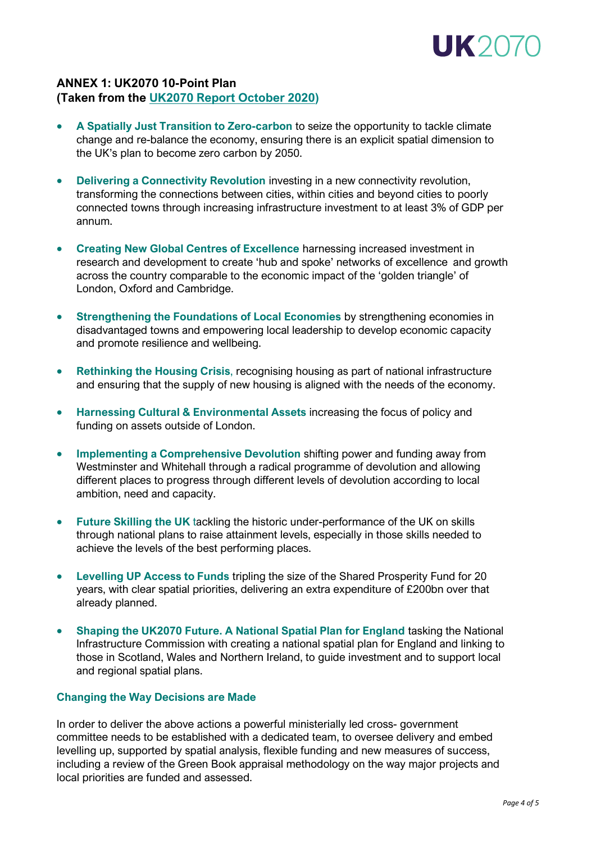

## **ANNEX 1: UK2070 10-Point Plan (Taken from the [UK2070 Report October](http://uk2070.org.uk/wp-content/uploads/2020/09/Go-Big-Go-Local.pdf) 2020)**

- **A Spatially Just Transition to Zero-carbon** to seize the opportunity to tackle climate change and re-balance the economy, ensuring there is an explicit spatial dimension to the UK's plan to become zero carbon by 2050.
- **Delivering a Connectivity Revolution** investing in a new connectivity revolution, transforming the connections between cities, within cities and beyond cities to poorly connected towns through increasing infrastructure investment to at least 3% of GDP per annum.
- **Creating New Global Centres of Excellence** harnessing increased investment in research and development to create 'hub and spoke' networks of excellence and growth across the country comparable to the economic impact of the 'golden triangle' of London, Oxford and Cambridge.
- **Strengthening the Foundations of Local Economies** by strengthening economies in disadvantaged towns and empowering local leadership to develop economic capacity and promote resilience and wellbeing.
- **Rethinking the Housing Crisis**, recognising housing as part of national infrastructure and ensuring that the supply of new housing is aligned with the needs of the economy.
- **Harnessing Cultural & Environmental Assets** increasing the focus of policy and funding on assets outside of London.
- **Implementing a Comprehensive Devolution** shifting power and funding away from Westminster and Whitehall through a radical programme of devolution and allowing different places to progress through different levels of devolution according to local ambition, need and capacity.
- **Future Skilling the UK** tackling the historic under-performance of the UK on skills through national plans to raise attainment levels, especially in those skills needed to achieve the levels of the best performing places.
- **Levelling UP Access to Funds** tripling the size of the Shared Prosperity Fund for 20 years, with clear spatial priorities, delivering an extra expenditure of £200bn over that already planned.
- **Shaping the UK2070 Future. A National Spatial Plan for England** tasking the National Infrastructure Commission with creating a national spatial plan for England and linking to those in Scotland, Wales and Northern Ireland, to guide investment and to support local and regional spatial plans.

#### **Changing the Way Decisions are Made**

In order to deliver the above actions a powerful ministerially led cross- government committee needs to be established with a dedicated team, to oversee delivery and embed levelling up, supported by spatial analysis, flexible funding and new measures of success, including a review of the Green Book appraisal methodology on the way major projects and local priorities are funded and assessed.